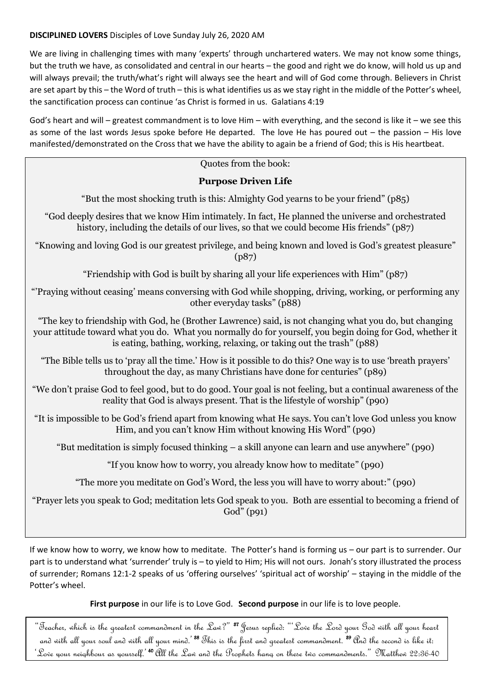## **DISCIPLINED LOVERS** Disciples of Love Sunday July 26, 2020 AM

We are living in challenging times with many 'experts' through unchartered waters. We may not know some things, but the truth we have, as consolidated and central in our hearts – the good and right we do know, will hold us up and will always prevail; the truth/what's right will always see the heart and will of God come through. Believers in Christ are set apart by this – the Word of truth – this is what identifies us as we stay right in the middle of the Potter's wheel, the sanctification process can continue 'as Christ is formed in us. Galatians 4:19

God's heart and will – greatest commandment is to love Him – with everything, and the second is like it – we see this as some of the last words Jesus spoke before He departed. The love He has poured out – the passion – His love manifested/demonstrated on the Cross that we have the ability to again be a friend of God; this is His heartbeat.

## Quotes from the book:

## **Purpose Driven Life**

"But the most shocking truth is this: Almighty God yearns to be your friend" (p85)

"God deeply desires that we know Him intimately. In fact, He planned the universe and orchestrated history, including the details of our lives, so that we could become His friends" (p87)

"Knowing and loving God is our greatest privilege, and being known and loved is God's greatest pleasure" (p87)

"Friendship with God is built by sharing all your life experiences with Him" (p87)

"'Praying without ceasing' means conversing with God while shopping, driving, working, or performing any other everyday tasks" (p88)

"The key to friendship with God, he (Brother Lawrence) said, is not changing what you do, but changing your attitude toward what you do. What you normally do for yourself, you begin doing for God, whether it is eating, bathing, working, relaxing, or taking out the trash" (p88)

"The Bible tells us to 'pray all the time.' How is it possible to do this? One way is to use 'breath prayers' throughout the day, as many Christians have done for centuries" (p89)

"We don't praise God to feel good, but to do good. Your goal is not feeling, but a continual awareness of the reality that God is always present. That is the lifestyle of worship" (p90)

"It is impossible to be God's friend apart from knowing what He says. You can't love God unless you know Him, and you can't know Him without knowing His Word" (p90)

"But meditation is simply focused thinking – a skill anyone can learn and use anywhere" (p90)

"If you know how to worry, you already know how to meditate" (p90)

"The more you meditate on God's Word, the less you will have to worry about:" (p90)

"Prayer lets you speak to God; meditation lets God speak to you. Both are essential to becoming a friend of God" (p91)

If we know how to worry, we know how to meditate. The Potter's hand is forming us – our part is to surrender. Our part is to understand what 'surrender' truly is – to yield to Him; His will not ours. Jonah's story illustrated the process of surrender; Romans 12:1-2 speaks of us 'offering ourselves' 'spiritual act of worship' – staying in the middle of the Potter's wheel.

**First purpose** in our life is to Love God. **Second purpose** in our life is to love people.

"Teacher, which is the greatest commandment in the Law?" <sup>87</sup> Jesus replied: "'Love the Lord your God with all your heart and with all your soul and with all your mind.<sup>'88</sup> This is the first and greatest commandment. <sup>39</sup> And the second is like it: 'Love your neighbour as yourself.' <sup>40</sup>All the Law and the Prophets hang on these two commandments." Matthew 22:36-40